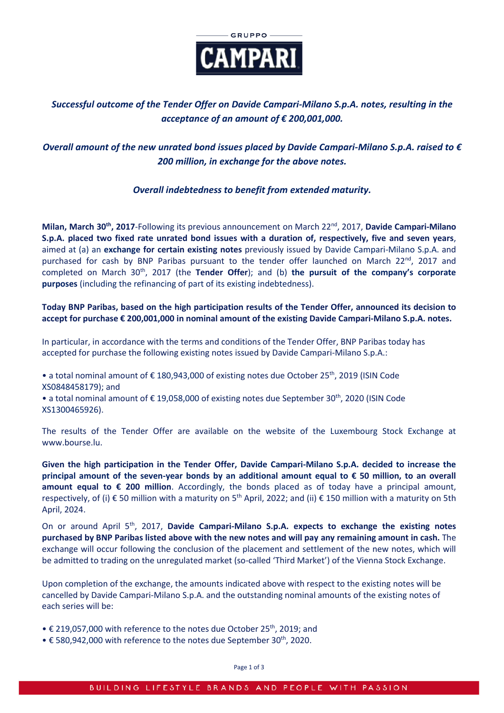

# *Successful outcome of the Tender Offer on Davide Campari-Milano S.p.A. notes, resulting in the acceptance of an amount of € 200,001,000.*

# *Overall amount of the new unrated bond issues placed by Davide Campari-Milano S.p.A. raised to € 200 million, in exchange for the above notes.*

## *Overall indebtedness to benefit from extended maturity.*

**Milan, March 30th, 2017**-Following its previous announcement on March 22nd, 2017, **Davide Campari-Milano S.p.A. placed two fixed rate unrated bond issues with a duration of, respectively, five and seven years**, aimed at (a) an **exchange for certain existing notes** previously issued by Davide Campari-Milano S.p.A. and purchased for cash by BNP Paribas pursuant to the tender offer launched on March 22<sup>nd</sup>, 2017 and completed on March 30<sup>th</sup>, 2017 (the **Tender Offer**); and (b) the pursuit of the company's corporate **purposes** (including the refinancing of part of its existing indebtedness).

**Today BNP Paribas, based on the high participation results of the Tender Offer, announced its decision to accept for purchase € 200,001,000 in nominal amount of the existing Davide Campari-Milano S.p.A. notes.**

In particular, in accordance with the terms and conditions of the Tender Offer, BNP Paribas today has accepted for purchase the following existing notes issued by Davide Campari-Milano S.p.A.:

• a total nominal amount of € 180,943,000 of existing notes due October 25th, 2019 (ISIN Code XS0848458179); and

• a total nominal amount of  $\epsilon$  19,058,000 of existing notes due September 30<sup>th</sup>, 2020 (ISIN Code XS1300465926).

The results of the Tender Offer are available on the website of the Luxembourg Stock Exchange at [www.bourse.lu.](https://www.bourse.lu/home)

**Given the high participation in the Tender Offer, Davide Campari-Milano S.p.A. decided to increase the principal amount of the seven-year bonds by an additional amount equal to € 50 million, to an overall amount equal to € 200 million**. Accordingly, the bonds placed as of today have a principal amount, respectively, of (i) € 50 million with a maturity on 5<sup>th</sup> April, 2022; and (ii) € 150 million with a maturity on 5th April, 2024.

On or around April 5<sup>th</sup>, 2017, Davide Campari-Milano S.p.A. expects to exchange the existing notes **purchased by BNP Paribas listed above with the new notes and will pay any remaining amount in cash.** The exchange will occur following the conclusion of the placement and settlement of the new notes, which will be admitted to trading on the unregulated market (so-called 'Third Market') of the Vienna Stock Exchange.

Upon completion of the exchange, the amounts indicated above with respect to the existing notes will be cancelled by Davide Campari-Milano S.p.A. and the outstanding nominal amounts of the existing notes of each series will be:

- $\epsilon$  219,057,000 with reference to the notes due October 25<sup>th</sup>, 2019; and
- $\bullet$  € 580,942,000 with reference to the notes due September 30<sup>th</sup>, 2020.

Page 1 of 3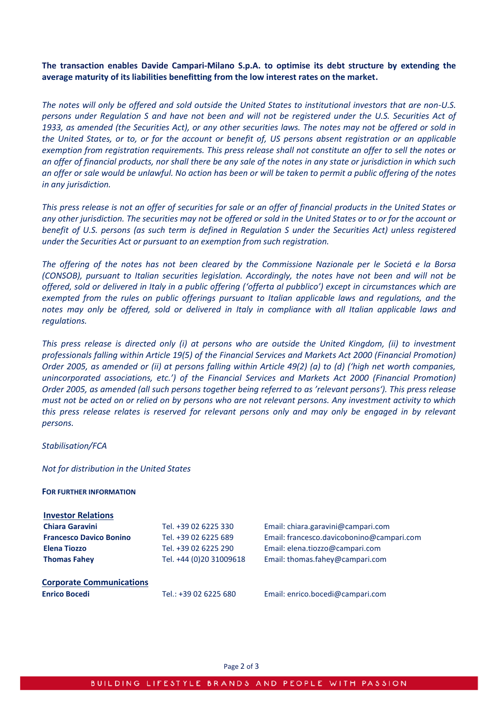**The transaction enables Davide Campari-Milano S.p.A. to optimise its debt structure by extending the average maturity of its liabilities benefitting from the low interest rates on the market.**

*The notes will only be offered and sold outside the United States to institutional investors that are non-U.S. persons under Regulation S and have not been and will not be registered under the U.S. Securities Act of 1933, as amended (the Securities Act), or any other securities laws. The notes may not be offered or sold in the United States, or to, or for the account or benefit of, US persons absent registration or an applicable exemption from registration requirements. This press release shall not constitute an offer to sell the notes or an offer of financial products, nor shall there be any sale of the notes in any state or jurisdiction in which such an offer or sale would be unlawful. No action has been or will be taken to permit a public offering of the notes in any jurisdiction.*

*This press release is not an offer of securities for sale or an offer of financial products in the United States or any other jurisdiction. The securities may not be offered or sold in the United States or to or for the account or benefit of U.S. persons (as such term is defined in Regulation S under the Securities Act) unless registered under the Securities Act or pursuant to an exemption from such registration.* 

*The offering of the notes has not been cleared by the Commissione Nazionale per le Societá e la Borsa (CONSOB), pursuant to Italian securities legislation. Accordingly, the notes have not been and will not be offered, sold or delivered in Italy in a public offering ('offerta al pubblico') except in circumstances which are exempted from the rules on public offerings pursuant to Italian applicable laws and regulations, and the notes may only be offered, sold or delivered in Italy in compliance with all Italian applicable laws and regulations.*

*This press release is directed only (i) at persons who are outside the United Kingdom, (ii) to investment professionals falling within Article 19(5) of the Financial Services and Markets Act 2000 (Financial Promotion) Order 2005, as amended or (ii) at persons falling within Article 49(2) (a) to (d) ('high net worth companies, unincorporated associations, etc.') of the Financial Services and Markets Act 2000 (Financial Promotion) Order 2005, as amended (all such persons together being referred to as 'relevant persons'). This press release must not be acted on or relied on by persons who are not relevant persons. Any investment activity to which this press release relates is reserved for relevant persons only and may only be engaged in by relevant persons.*

#### *Stabilisation/FCA*

### *Not for distribution in the United States*

#### **FOR FURTHER INFORMATION**

| <b>Investor Relations</b>       |                         |                                           |
|---------------------------------|-------------------------|-------------------------------------------|
| <b>Chiara Garavini</b>          | Tel. +39 02 6225 330    | Email: chiara.garavini@campari.com        |
| <b>Francesco Davico Bonino</b>  | Tel. +39 02 6225 689    | Email: francesco.davicobonino@campari.com |
| <b>Elena Tiozzo</b>             | Tel. +39 02 6225 290    | Email: elena.tiozzo@campari.com           |
| <b>Thomas Fahev</b>             | Tel. +44 (0)20 31009618 | Email: thomas.fahey@campari.com           |
| <b>Corporate Communications</b> |                         |                                           |
| <b>Enrico Bocedi</b>            | Tel.: +39 02 6225 680   | Email: enrico.bocedi@campari.com          |